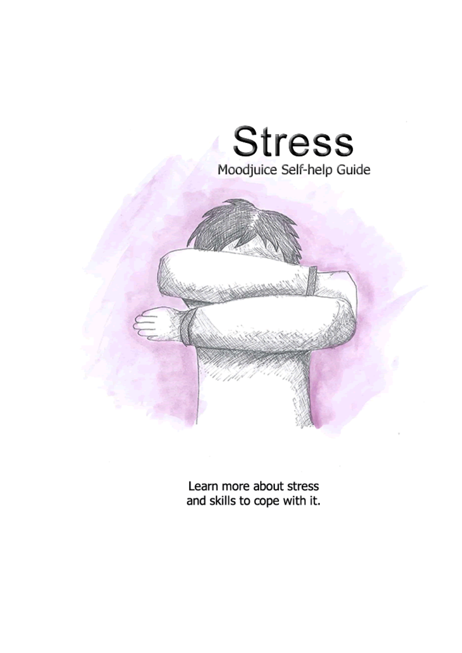

Learn more about stress and skills to cope with it.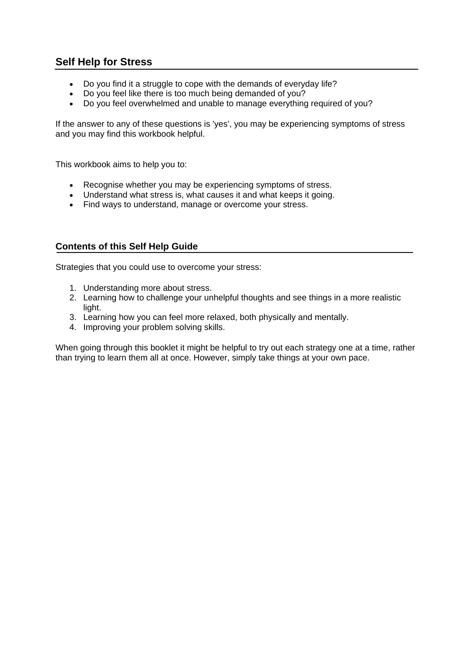# **Self Help for Stress**

- Do you find it a struggle to cope with the demands of everyday life?
- Do you feel like there is too much being demanded of you?
- Do you feel overwhelmed and unable to manage everything required of you?

If the answer to any of these questions is 'yes', you may be experiencing symptoms of stress and you may find this workbook helpful.

This workbook aims to help you to:

- Recognise whether you may be experiencing symptoms of stress.
- Understand what stress is, what causes it and what keeps it going.
- Find ways to understand, manage or overcome your stress.

### **Contents of this Self Help Guide**

Strategies that you could use to overcome your stress:

- 1. Understanding more about stress.
- 2. Learning how to challenge your unhelpful thoughts and see things in a more realistic light.
- 3. Learning how you can feel more relaxed, both physically and mentally.
- 4. Improving your problem solving skills.

When going through this booklet it might be helpful to try out each strategy one at a time, rather than trying to learn them all at once. However, simply take things at your own pace.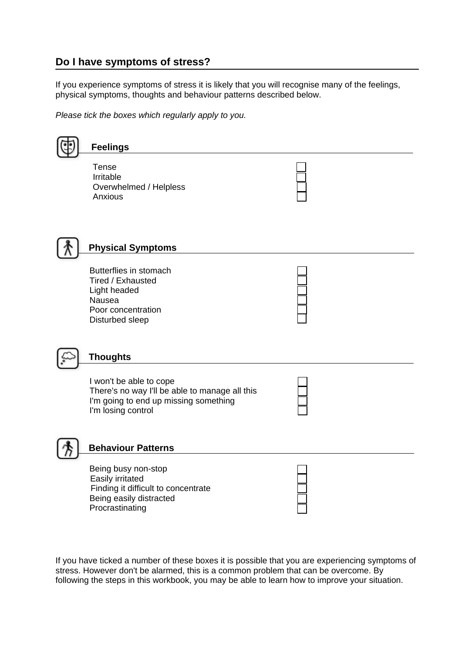# **Do I have symptoms of stress?**

If you experience symptoms of stress it is likely that you will recognise many of the feelings, physical symptoms, thoughts and behaviour patterns described below.

*Please tick the boxes which regularly apply to you.*

| <b>Feelings</b>                                                                                                                          |  |
|------------------------------------------------------------------------------------------------------------------------------------------|--|
| <b>Tense</b><br>Irritable<br>Overwhelmed / Helpless<br>Anxious                                                                           |  |
| <b>Physical Symptoms</b>                                                                                                                 |  |
| Butterflies in stomach<br>Tired / Exhausted<br>Light headed<br>Nausea<br>Poor concentration<br>Disturbed sleep                           |  |
| <b>Thoughts</b>                                                                                                                          |  |
| I won't be able to cope<br>There's no way I'll be able to manage all this<br>I'm going to end up missing something<br>I'm losing control |  |
| <b>Behaviour Patterns</b>                                                                                                                |  |
| Being busy non-stop<br>Easily irritated<br>Finding it difficult to concentrate<br>Being easily distracted<br>Procrastinating             |  |

If you have ticked a number of these boxes it is possible that you are experiencing symptoms of stress. However don't be alarmed, this is a common problem that can be overcome. By following the steps in this workbook, you may be able to learn how to improve your situation.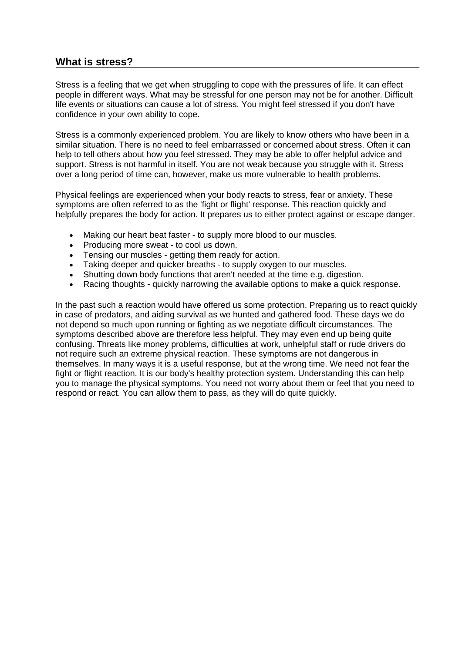# **What is stress?**

Stress is a feeling that we get when struggling to cope with the pressures of life. It can effect people in different ways. What may be stressful for one person may not be for another. Difficult life events or situations can cause a lot of stress. You might feel stressed if you don't have confidence in your own ability to cope.

Stress is a commonly experienced problem. You are likely to know others who have been in a similar situation. There is no need to feel embarrassed or concerned about stress. Often it can help to tell others about how you feel stressed. They may be able to offer helpful advice and support. Stress is not harmful in itself. You are not weak because you struggle with it. Stress over a long period of time can, however, make us more vulnerable to health problems.

Physical feelings are experienced when your body reacts to stress, fear or anxiety. These symptoms are often referred to as the 'fight or flight' response. This reaction quickly and helpfully prepares the body for action. It prepares us to either protect against or escape danger.

- Making our heart beat faster to supply more blood to our muscles.
- Producing more sweat to cool us down.
- Tensing our muscles getting them ready for action.
- Taking deeper and quicker breaths to supply oxygen to our muscles.
- Shutting down body functions that aren't needed at the time e.g. digestion.
- Racing thoughts quickly narrowing the available options to make a quick response.

In the past such a reaction would have offered us some protection. Preparing us to react quickly in case of predators, and aiding survival as we hunted and gathered food. These days we do not depend so much upon running or fighting as we negotiate difficult circumstances. The symptoms described above are therefore less helpful. They may even end up being quite confusing. Threats like money problems, difficulties at work, unhelpful staff or rude drivers do not require such an extreme physical reaction. These symptoms are not dangerous in themselves. In many ways it is a useful response, but at the wrong time. We need not fear the fight or flight reaction. It is our body's healthy protection system. Understanding this can help you to manage the physical symptoms. You need not worry about them or feel that you need to respond or react. You can allow them to pass, as they will do quite quickly.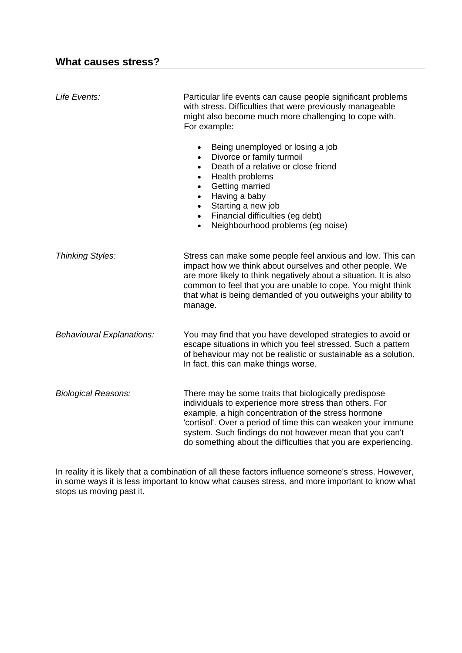| Life Events:                     | Particular life events can cause people significant problems<br>with stress. Difficulties that were previously manageable<br>might also become much more challenging to cope with.<br>For example:                                                                                                                                                                              |
|----------------------------------|---------------------------------------------------------------------------------------------------------------------------------------------------------------------------------------------------------------------------------------------------------------------------------------------------------------------------------------------------------------------------------|
|                                  | Being unemployed or losing a job<br>$\bullet$<br>Divorce or family turmoil<br>$\bullet$<br>Death of a relative or close friend<br>$\bullet$<br>Health problems<br>$\bullet$<br>Getting married<br>$\bullet$<br>Having a baby<br>$\bullet$<br>Starting a new job<br>$\bullet$<br>Financial difficulties (eg debt)<br>$\bullet$<br>Neighbourhood problems (eg noise)<br>$\bullet$ |
| <b>Thinking Styles:</b>          | Stress can make some people feel anxious and low. This can<br>impact how we think about ourselves and other people. We<br>are more likely to think negatively about a situation. It is also<br>common to feel that you are unable to cope. You might think<br>that what is being demanded of you outweighs your ability to<br>manage.                                           |
| <b>Behavioural Explanations:</b> | You may find that you have developed strategies to avoid or<br>escape situations in which you feel stressed. Such a pattern<br>of behaviour may not be realistic or sustainable as a solution.<br>In fact, this can make things worse.                                                                                                                                          |
| <b>Biological Reasons:</b>       | There may be some traits that biologically predispose<br>individuals to experience more stress than others. For<br>example, a high concentration of the stress hormone<br>'cortisol'. Over a period of time this can weaken your immune<br>system. Such findings do not however mean that you can't<br>do something about the difficulties that you are experiencing.           |

In reality it is likely that a combination of all these factors influence someone's stress. However, in some ways it is less important to know what causes stress, and more important to know what stops us moving past it.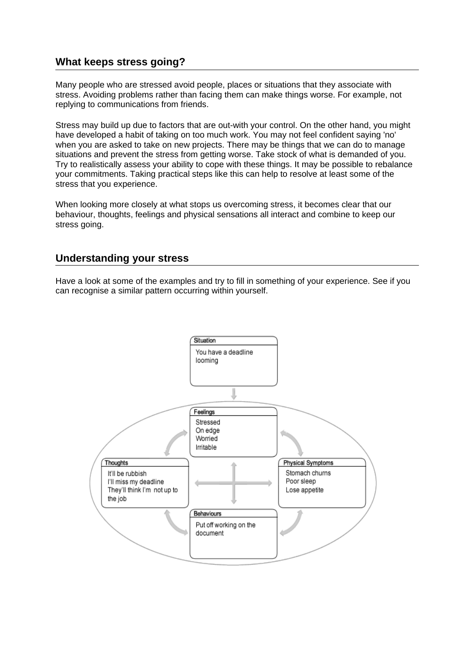# **What keeps stress going?**

Many people who are stressed avoid people, places or situations that they associate with stress. Avoiding problems rather than facing them can make things worse. For example, not replying to communications from friends.

Stress may build up due to factors that are out-with your control. On the other hand, you might have developed a habit of taking on too much work. You may not feel confident saying 'no' when you are asked to take on new projects. There may be things that we can do to manage situations and prevent the stress from getting worse. Take stock of what is demanded of you. Try to realistically assess your ability to cope with these things. It may be possible to rebalance your commitments. Taking practical steps like this can help to resolve at least some of the stress that you experience.

When looking more closely at what stops us overcoming stress, it becomes clear that our behaviour, thoughts, feelings and physical sensations all interact and combine to keep our stress going.

# **Understanding your stress**

Have a look at some of the examples and try to fill in something of your experience. See if you can recognise a similar pattern occurring within yourself.

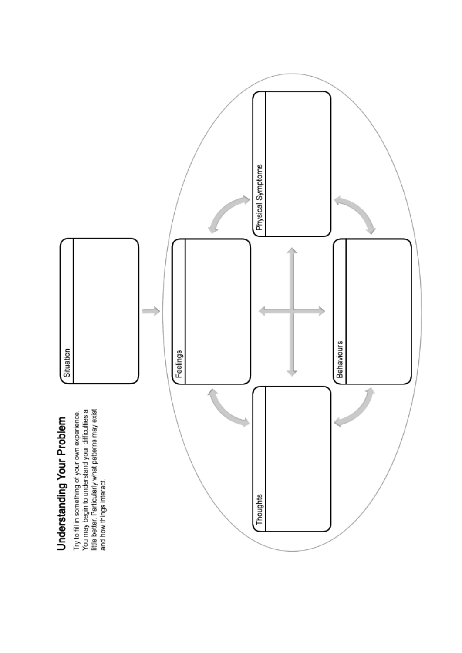

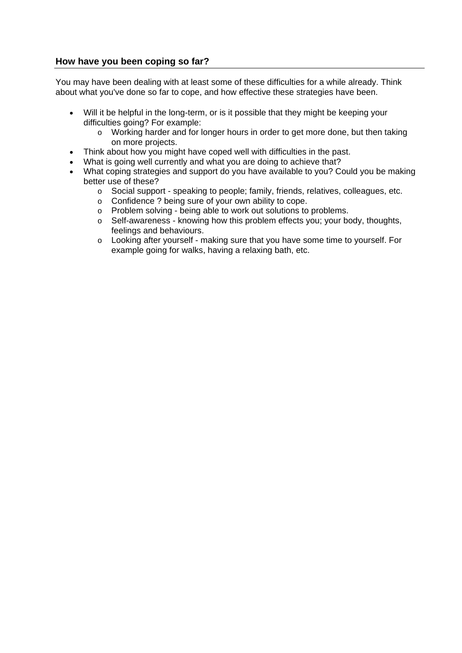### **How have you been coping so far?**

You may have been dealing with at least some of these difficulties for a while already. Think about what you've done so far to cope, and how effective these strategies have been.

- Will it be helpful in the long-term, or is it possible that they might be keeping your difficulties going? For example:
	- o Working harder and for longer hours in order to get more done, but then taking on more projects.
- Think about how you might have coped well with difficulties in the past.
- What is going well currently and what you are doing to achieve that?
- What coping strategies and support do you have available to you? Could you be making better use of these?
	- o Social support speaking to people; family, friends, relatives, colleagues, etc.
	- o Confidence ? being sure of your own ability to cope.
	- o Problem solving being able to work out solutions to problems.
	- o Self-awareness knowing how this problem effects you; your body, thoughts, feelings and behaviours.
	- o Looking after yourself making sure that you have some time to yourself. For example going for walks, having a relaxing bath, etc.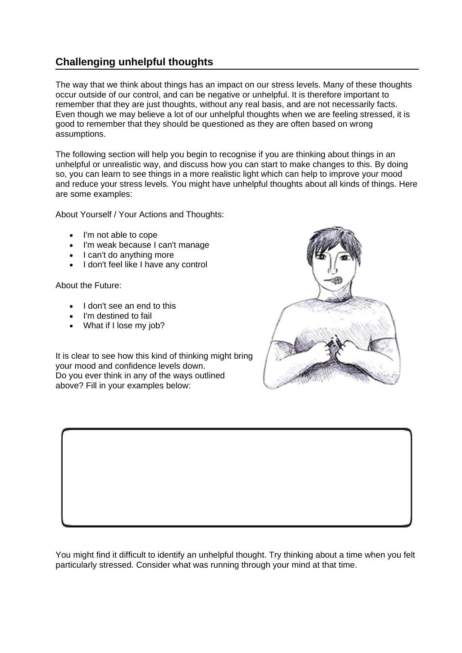# **Challenging unhelpful thoughts**

The way that we think about things has an impact on our stress levels. Many of these thoughts occur outside of our control, and can be negative or unhelpful. It is therefore important to remember that they are just thoughts, without any real basis, and are not necessarily facts. Even though we may believe a lot of our unhelpful thoughts when we are feeling stressed, it is good to remember that they should be questioned as they are often based on wrong assumptions.

The following section will help you begin to recognise if you are thinking about things in an unhelpful or unrealistic way, and discuss how you can start to make changes to this. By doing so, you can learn to see things in a more realistic light which can help to improve your mood and reduce your stress levels. You might have unhelpful thoughts about all kinds of things. Here are some examples:

About Yourself / Your Actions and Thoughts:

- I'm not able to cope
- I'm weak because I can't manage
- I can't do anything more
- I don't feel like I have any control

About the Future:

- I don't see an end to this
- I'm destined to fail
- What if I lose my job?

It is clear to see how this kind of thinking might bring your mood and confidence levels down. Do you ever think in any of the ways outlined above? Fill in your examples below:



You might find it difficult to identify an unhelpful thought. Try thinking about a time when you felt particularly stressed. Consider what was running through your mind at that time.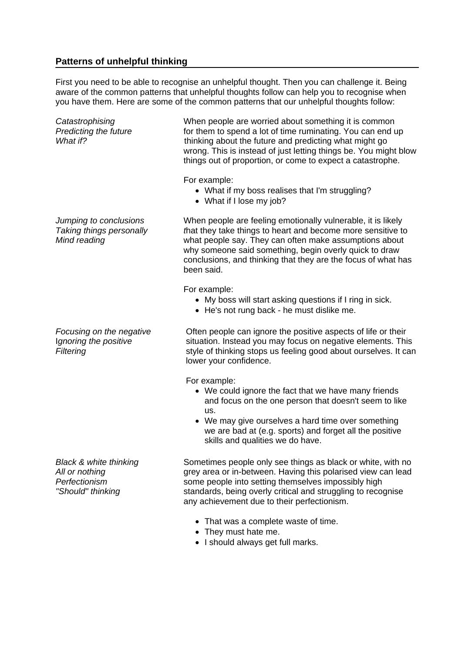### **Patterns of unhelpful thinking**

First you need to be able to recognise an unhelpful thought. Then you can challenge it. Being aware of the common patterns that unhelpful thoughts follow can help you to recognise when you have them. Here are some of the common patterns that our unhelpful thoughts follow:

*Catastrophising* When people are worried about something it is common *Predicting the future* **for them to spend a lot of time ruminating.** You can end up *What if?* This is a set of thinking about the future and predicting what might go wrong. This is instead of just letting things be. You might blow things out of proportion, or come to expect a catastrophe. For example: What if my boss realises that I'm struggling? • What if I lose my job? *Jumping to conclusions* When people are feeling emotionally vulnerable, it is likely *Taking things personally t*hat they take things to heart and become more sensitive to *Mind reading* what people say. They can often make assumptions about why someone said something, begin overly quick to draw conclusions, and thinking that they are the focus of what has been said. For example: My boss will start asking questions if I ring in sick. He's not rung back - he must dislike me. *Focusing on the negative* **Often people can ignore the positive aspects of life or their** I*gnoring the positive* situation. Instead you may focus on negative elements. This *Filtering* **Style of thinking stops us feeling good about ourselves. It can** lower your confidence.

For example:

- We could ignore the fact that we have many friends and focus on the one person that doesn't seem to like us.
- We may give ourselves a hard time over something we are bad at (e.g. sports) and forget all the positive skills and qualities we do have.

*Black & white thinking* Sometimes people only see things as black or white, with no *All or nothing* grey area or in-between. Having this polarised view can lead *Perfectionism*<br> **Should''** thinking *some people into setting themselves impossibly high*<br> **Should''** thinking<br> **Should'** thinking<br> **Should'** thinking standards, being overly critical and struggling to recognise any achievement due to their perfectionism.

- That was a complete waste of time.
- They must hate me.
- I should always get full marks.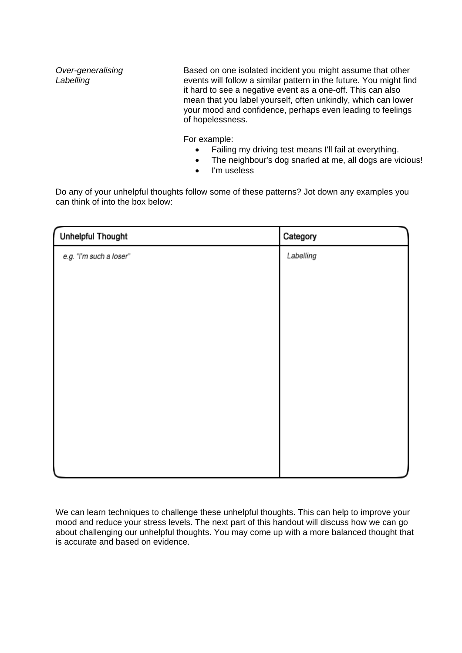**Over-generalising** Based on one isolated incident you might assume that other *Labelling* events will follow a similar pattern in the future. You might find it hard to see a negative event as a one-off. This can also mean that you label yourself, often unkindly, which can lower your mood and confidence, perhaps even leading to feelings of hopelessness.

For example:

- Failing my driving test means I'll fail at everything.
- The neighbour's dog snarled at me, all dogs are vicious!
- I'm useless

Do any of your unhelpful thoughts follow some of these patterns? Jot down any examples you can think of into the box below:

| Unhelpful Thought       | Category  |
|-------------------------|-----------|
| e.g. "I'm such a loser" | Labelling |
|                         |           |
|                         |           |
|                         |           |
|                         |           |
|                         |           |
|                         |           |
|                         |           |
|                         |           |
|                         |           |
|                         |           |
|                         |           |

We can learn techniques to challenge these unhelpful thoughts. This can help to improve your mood and reduce your stress levels. The next part of this handout will discuss how we can go about challenging our unhelpful thoughts. You may come up with a more balanced thought that is accurate and based on evidence.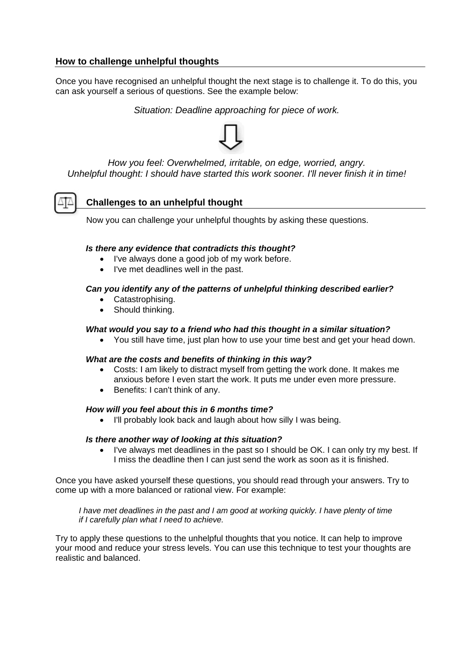### **How to challenge unhelpful thoughts**

Once you have recognised an unhelpful thought the next stage is to challenge it. To do this, you can ask yourself a serious of questions. See the example below:

*Situation: Deadline approaching for piece of work.* 



*How you feel: Overwhelmed, irritable, on edge, worried, angry. Unhelpful thought: I should have started this work sooner. I'll never finish it in time!* 



### **Challenges to an unhelpful thought**

Now you can challenge your unhelpful thoughts by asking these questions.

### *Is there any evidence that contradicts this thought?*

- I've always done a good job of my work before.
- I've met deadlines well in the past.

### *Can you identify any of the patterns of unhelpful thinking described earlier?*

- Catastrophising.
- Should thinking.

### *What would you say to a friend who had this thought in a similar situation?*

You still have time, just plan how to use your time best and get your head down.

### *What are the costs and benefits of thinking in this way?*

- Costs: I am likely to distract myself from getting the work done. It makes me anxious before I even start the work. It puts me under even more pressure.
- Benefits: I can't think of any.

### *How will you feel about this in 6 months time?*

I'll probably look back and laugh about how silly I was being.

### *Is there another way of looking at this situation?*

• I've always met deadlines in the past so I should be OK. I can only try my best. If I miss the deadline then I can just send the work as soon as it is finished.

Once you have asked yourself these questions, you should read through your answers. Try to come up with a more balanced or rational view. For example:

*I have met deadlines in the past and I am good at working quickly. I have plenty of time if I carefully plan what I need to achieve.* 

Try to apply these questions to the unhelpful thoughts that you notice. It can help to improve your mood and reduce your stress levels. You can use this technique to test your thoughts are realistic and balanced.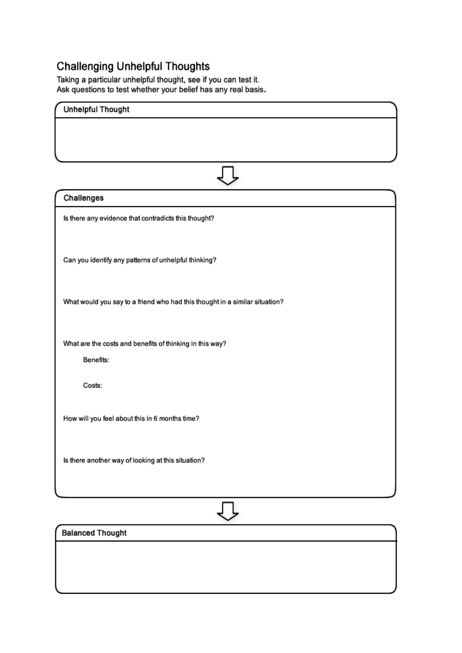# **Challenging Unhelpful Thoughts**

Taking a particular unhelpful thought, see if you can test it.<br>Ask questions to test whether your belief has any real basis.

| <b>Unhelpful Thought</b>                                                    |
|-----------------------------------------------------------------------------|
|                                                                             |
|                                                                             |
|                                                                             |
|                                                                             |
| Challenges                                                                  |
| Is there any evidence that contradicts this thought?                        |
|                                                                             |
| Can you identify any patterns of unhelpful thinking?                        |
|                                                                             |
|                                                                             |
| What would you say to a friend who had this thought in a similar situation? |
|                                                                             |
| What are the costs and benefits of thinking in this way?                    |
| Benefits:                                                                   |
| Costs:                                                                      |
|                                                                             |
| How will you feel about this in 6 months time?                              |
|                                                                             |
| Is there another way of looking at this situation?                          |
|                                                                             |
|                                                                             |
|                                                                             |
| <b>Balanced Thought</b>                                                     |
|                                                                             |
|                                                                             |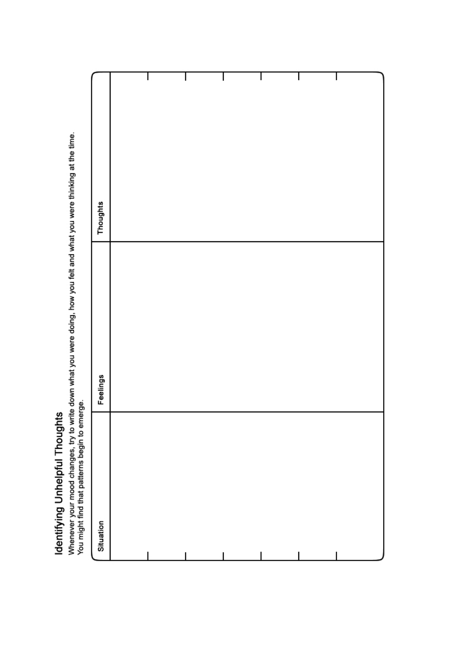# Identifying Unhelpful Thoughts

Whenever your mood changes, try to write down what you were doing, how you felt and what you were thinking at the time.<br>You might find that patterns begin to emerge.

| Situation | Feelings | Thoughts |
|-----------|----------|----------|
|           |          |          |
|           |          |          |
|           |          |          |
|           |          | ı        |
|           |          | ı        |
|           |          | ı        |
|           |          |          |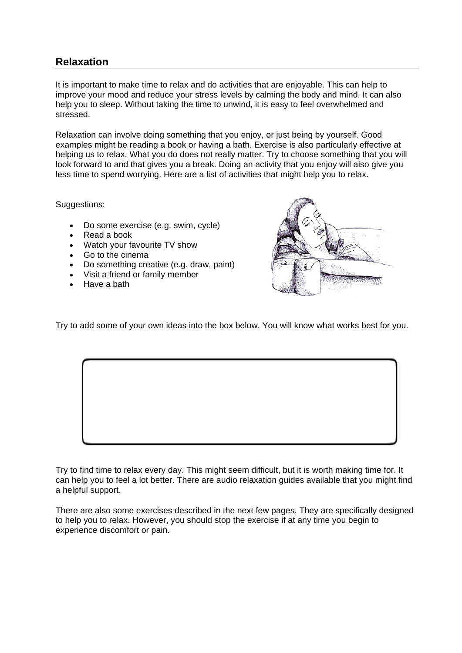# **Relaxation**

It is important to make time to relax and do activities that are enjoyable. This can help to improve your mood and reduce your stress levels by calming the body and mind. It can also help you to sleep. Without taking the time to unwind, it is easy to feel overwhelmed and stressed.

Relaxation can involve doing something that you enjoy, or just being by yourself. Good examples might be reading a book or having a bath. Exercise is also particularly effective at helping us to relax. What you do does not really matter. Try to choose something that you will look forward to and that gives you a break. Doing an activity that you enjoy will also give you less time to spend worrying. Here are a list of activities that might help you to relax.

Suggestions:

- Do some exercise (e.g. swim, cycle)
- Read a book
- Watch your favourite TV show
- Go to the cinema
- Do something creative (e.g. draw, paint)
- Visit a friend or family member
- Have a bath



Try to add some of your own ideas into the box below. You will know what works best for you.

Try to find time to relax every day. This might seem difficult, but it is worth making time for. It can help you to feel a lot better. There are audio relaxation guides available that you might find a helpful support.

There are also some exercises described in the next few pages. They are specifically designed to help you to relax. However, you should stop the exercise if at any time you begin to experience discomfort or pain.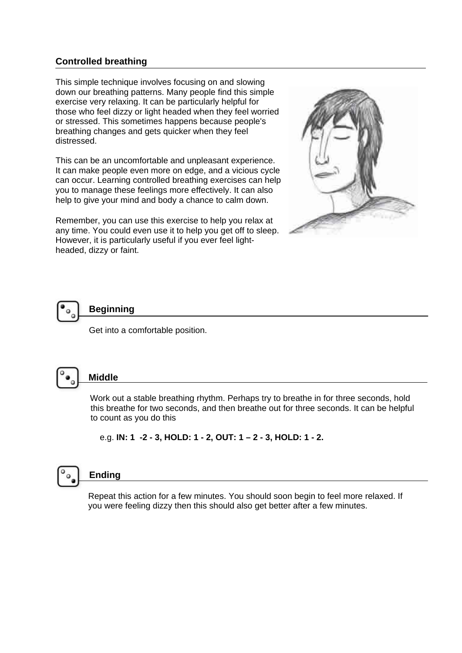### **Controlled breathing**

This simple technique involves focusing on and slowing down our breathing patterns. Many people find this simple exercise very relaxing. It can be particularly helpful for those who feel dizzy or light headed when they feel worried or stressed. This sometimes happens because people's breathing changes and gets quicker when they feel distressed.

This can be an uncomfortable and unpleasant experience. It can make people even more on edge, and a vicious cycle can occur. Learning controlled breathing exercises can help you to manage these feelings more effectively. It can also help to give your mind and body a chance to calm down.

Remember, you can use this exercise to help you relax at any time. You could even use it to help you get off to sleep. However, it is particularly useful if you ever feel lightheaded, dizzy or faint.





Get into a comfortable position.



# **Middle**

Work out a stable breathing rhythm. Perhaps try to breathe in for three seconds, hold this breathe for two seconds, and then breathe out for three seconds. It can be helpful to count as you do this

e.g. **IN: 1 -2 - 3, HOLD: 1 - 2, OUT: 1 – 2 - 3, HOLD: 1 - 2.** 



# **Ending**

 Repeat this action for a few minutes. You should soon begin to feel more relaxed. If you were feeling dizzy then this should also get better after a few minutes.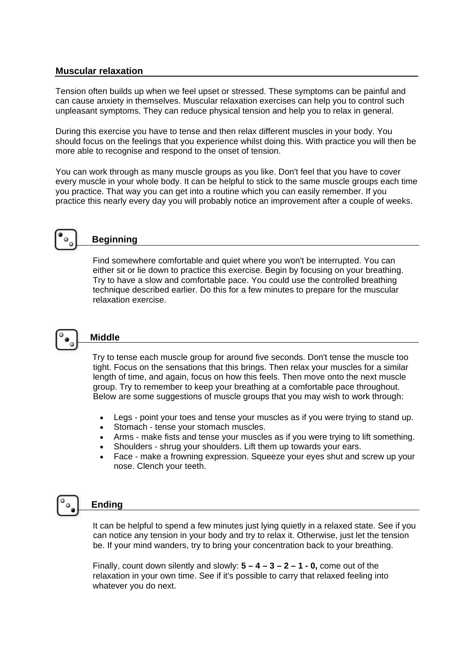### **Muscular relaxation**

Tension often builds up when we feel upset or stressed. These symptoms can be painful and can cause anxiety in themselves. Muscular relaxation exercises can help you to control such unpleasant symptoms. They can reduce physical tension and help you to relax in general.

During this exercise you have to tense and then relax different muscles in your body. You should focus on the feelings that you experience whilst doing this. With practice you will then be more able to recognise and respond to the onset of tension.

You can work through as many muscle groups as you like. Don't feel that you have to cover every muscle in your whole body. It can be helpful to stick to the same muscle groups each time you practice. That way you can get into a routine which you can easily remember. If you practice this nearly every day you will probably notice an improvement after a couple of weeks.



# **Beginning**

Find somewhere comfortable and quiet where you won't be interrupted. You can either sit or lie down to practice this exercise. Begin by focusing on your breathing. Try to have a slow and comfortable pace. You could use the controlled breathing technique described earlier. Do this for a few minutes to prepare for the muscular relaxation exercise.



# **Middle**

 Try to tense each muscle group for around five seconds. Don't tense the muscle too tight. Focus on the sensations that this brings. Then relax your muscles for a similar length of time, and again, focus on how this feels. Then move onto the next muscle group. Try to remember to keep your breathing at a comfortable pace throughout. Below are some suggestions of muscle groups that you may wish to work through:

- Legs point your toes and tense your muscles as if you were trying to stand up.
- Stomach tense your stomach muscles.
- Arms make fists and tense your muscles as if you were trying to lift something.
- Shoulders shrug your shoulders. Lift them up towards your ears.
- Face make a frowning expression. Squeeze your eyes shut and screw up your nose. Clench your teeth.

# **Ending**

 It can be helpful to spend a few minutes just lying quietly in a relaxed state. See if you can notice any tension in your body and try to relax it. Otherwise, just let the tension be. If your mind wanders, try to bring your concentration back to your breathing.

 Finally, count down silently and slowly: **5 – 4 – 3 – 2 – 1 - 0,** come out of the relaxation in your own time. See if it's possible to carry that relaxed feeling into whatever you do next.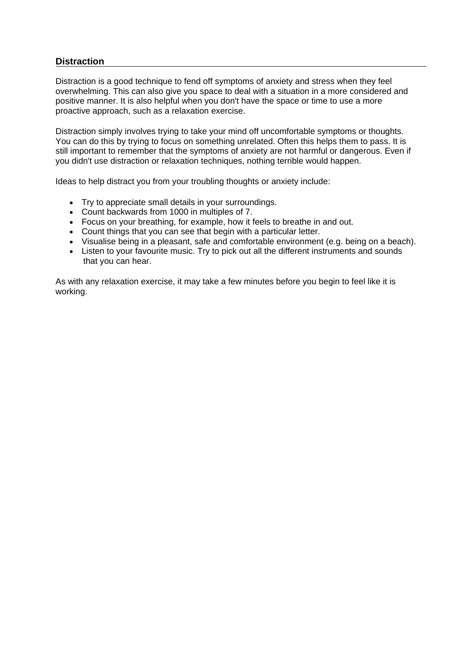### **Distraction**

Distraction is a good technique to fend off symptoms of anxiety and stress when they feel overwhelming. This can also give you space to deal with a situation in a more considered and positive manner. It is also helpful when you don't have the space or time to use a more proactive approach, such as a relaxation exercise.

Distraction simply involves trying to take your mind off uncomfortable symptoms or thoughts. You can do this by trying to focus on something unrelated. Often this helps them to pass. It is still important to remember that the symptoms of anxiety are not harmful or dangerous. Even if you didn't use distraction or relaxation techniques, nothing terrible would happen.

Ideas to help distract you from your troubling thoughts or anxiety include:

- Try to appreciate small details in your surroundings.
- Count backwards from 1000 in multiples of 7.
- Focus on your breathing, for example, how it feels to breathe in and out.
- Count things that you can see that begin with a particular letter.
- Visualise being in a pleasant, safe and comfortable environment (e.g. being on a beach).
- Listen to your favourite music. Try to pick out all the different instruments and sounds that you can hear.

As with any relaxation exercise, it may take a few minutes before you begin to feel like it is working.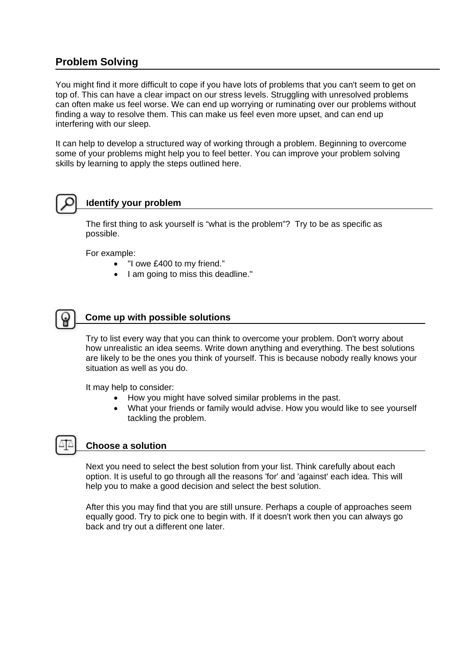# **Problem Solving**

You might find it more difficult to cope if you have lots of problems that you can't seem to get on top of. This can have a clear impact on our stress levels. Struggling with unresolved problems can often make us feel worse. We can end up worrying or ruminating over our problems without finding a way to resolve them. This can make us feel even more upset, and can end up interfering with our sleep.

It can help to develop a structured way of working through a problem. Beginning to overcome some of your problems might help you to feel better. You can improve your problem solving skills by learning to apply the steps outlined here.



# **Identify your problem**

The first thing to ask yourself is "what is the problem"? Try to be as specific as possible.

For example:

- "I owe £400 to my friend."
- I am going to miss this deadline."



### **Come up with possible solutions**

Try to list every way that you can think to overcome your problem. Don't worry about how unrealistic an idea seems. Write down anything and everything. The best solutions are likely to be the ones you think of yourself. This is because nobody really knows your situation as well as you do.

It may help to consider:

- How you might have solved similar problems in the past.
- What your friends or family would advise. How you would like to see yourself tackling the problem.



### **Choose a solution**

Next you need to select the best solution from your list. Think carefully about each option. It is useful to go through all the reasons 'for' and 'against' each idea. This will help you to make a good decision and select the best solution.

After this you may find that you are still unsure. Perhaps a couple of approaches seem equally good. Try to pick one to begin with. If it doesn't work then you can always go back and try out a different one later.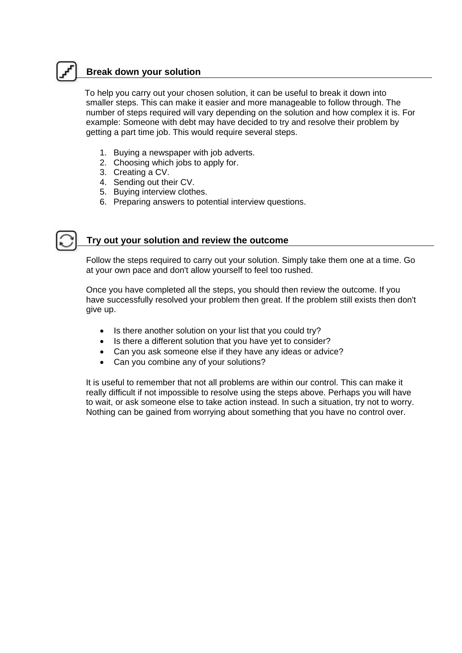# **Break down your solution**

To help you carry out your chosen solution, it can be useful to break it down into smaller steps. This can make it easier and more manageable to follow through. The number of steps required will vary depending on the solution and how complex it is. For example: Someone with debt may have decided to try and resolve their problem by getting a part time job. This would require several steps.

- 1. Buying a newspaper with job adverts.
- 2. Choosing which jobs to apply for.
- 3. Creating a CV.
- 4. Sending out their CV.
- 5. Buying interview clothes.
- 6. Preparing answers to potential interview questions.



### **Try out your solution and review the outcome**

Follow the steps required to carry out your solution. Simply take them one at a time. Go at your own pace and don't allow yourself to feel too rushed.

 Once you have completed all the steps, you should then review the outcome. If you have successfully resolved your problem then great. If the problem still exists then don't give up.

- Is there another solution on your list that you could try?
- Is there a different solution that you have yet to consider?
- Can you ask someone else if they have any ideas or advice?
- Can you combine any of your solutions?

 It is useful to remember that not all problems are within our control. This can make it really difficult if not impossible to resolve using the steps above. Perhaps you will have to wait, or ask someone else to take action instead. In such a situation, try not to worry. Nothing can be gained from worrying about something that you have no control over.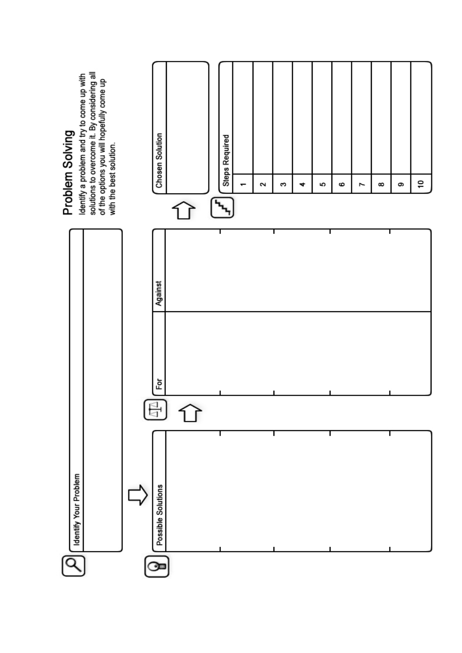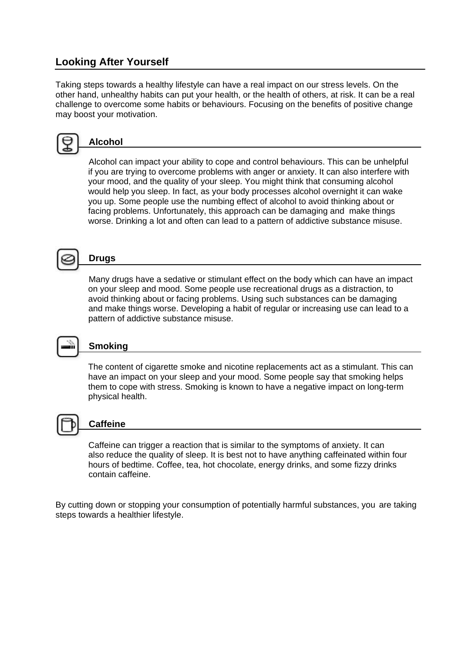# **Looking After Yourself**

Taking steps towards a healthy lifestyle can have a real impact on our stress levels. On the other hand, unhealthy habits can put your health, or the health of others, at risk. It can be a real challenge to overcome some habits or behaviours. Focusing on the benefits of positive change may boost your motivation.



### **Alcohol**

Alcohol can impact your ability to cope and control behaviours. This can be unhelpful if you are trying to overcome problems with anger or anxiety. It can also interfere with your mood, and the quality of your sleep. You might think that consuming alcohol would help you sleep. In fact, as your body processes alcohol overnight it can wake you up. Some people use the numbing effect of alcohol to avoid thinking about or facing problems. Unfortunately, this approach can be damaging and make things worse. Drinking a lot and often can lead to a pattern of addictive substance misuse.



# **Drugs**

Many drugs have a sedative or stimulant effect on the body which can have an impact on your sleep and mood. Some people use recreational drugs as a distraction, to and make things worse. Developing a habit of regular or increasing use can lead to a avoid thinking about or facing problems. Using such substances can be damaging pattern of addictive substance misuse.



### **Smoking**

The content of cigarette smoke and nicotine replacements act as a stimulant. This can have an impact on your sleep and your mood. Some people say that smoking helps them to cope with stress. Smoking is known to have a negative impact on long-term physical health.



### **Caffeine**

Caffeine can trigger a reaction that is similar to the symptoms of anxiety. It can also reduce the quality of sleep. It is best not to have anything caffeinated within four hours of bedtime. Coffee, tea, hot chocolate, energy drinks, and some fizzy drinks contain caffeine.

By cutting down or stopping your consumption of potentially harmful substances, you are taking steps towards a healthier lifestyle.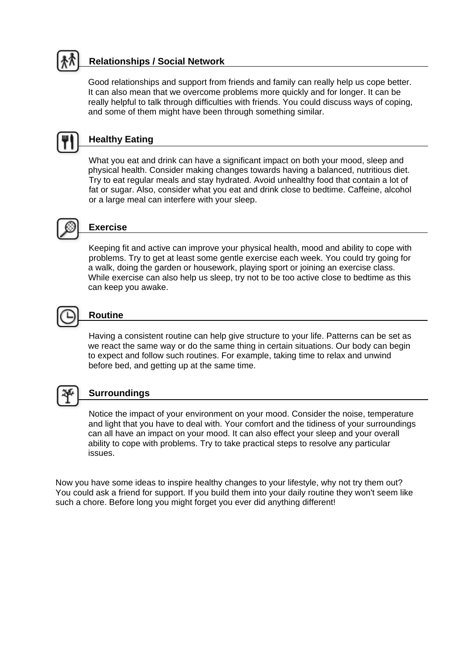# **Relationships / Social Network**

 Good relationships and support from friends and family can really help us cope better. It can also mean that we overcome problems more quickly and for longer. It can be really helpful to talk through difficulties with friends. You could discuss ways of coping, and some of them might have been through something similar.



# **Healthy Eating**

What you eat and drink can have a significant impact on both your mood, sleep and physical health. Consider making changes towards having a balanced, nutritious diet. Try to eat regular meals and stay hydrated. Avoid unhealthy food that contain a lot of fat or sugar. Also, consider what you eat and drink close to bedtime. Caffeine, alcohol or a large meal can interfere with your sleep.



# **Exercise**

Keep ing fit and active can improve your physical health, mood and ability to cope with problems. Try to get at least some gentle exercise each week. You could try going for While exercise can also help us sleep, try not to be too active close to bedtime as this a walk, doing the garden or housework, playing sport or joining an exercise class. can keep you awake.



# **Routine**

Having a consistent routine can help give structure to your life. Patterns can be set as we react the same way or do the same thing in certain situations. Our body can begin to expect and follow such routines. For example, taking time to relax and unwind before bed, and getting up at the same time.



### **Surroundings**

Notice the impact of your environment on your mood. Consider the noise, temperature and light that you have to deal with. Your comfort and the tidiness of your surroundings can all have an impact on your mood. It can also effect your sleep and your overall ability to cope with problems. Try to take practical steps to resolve any particular issues.

Now you have some ideas to inspire healthy changes to your lifestyle, why not try them out? You could ask a friend for support. If you build them into your daily routine they won't seem like such a chore. Before long you might forget you ever did anything different!